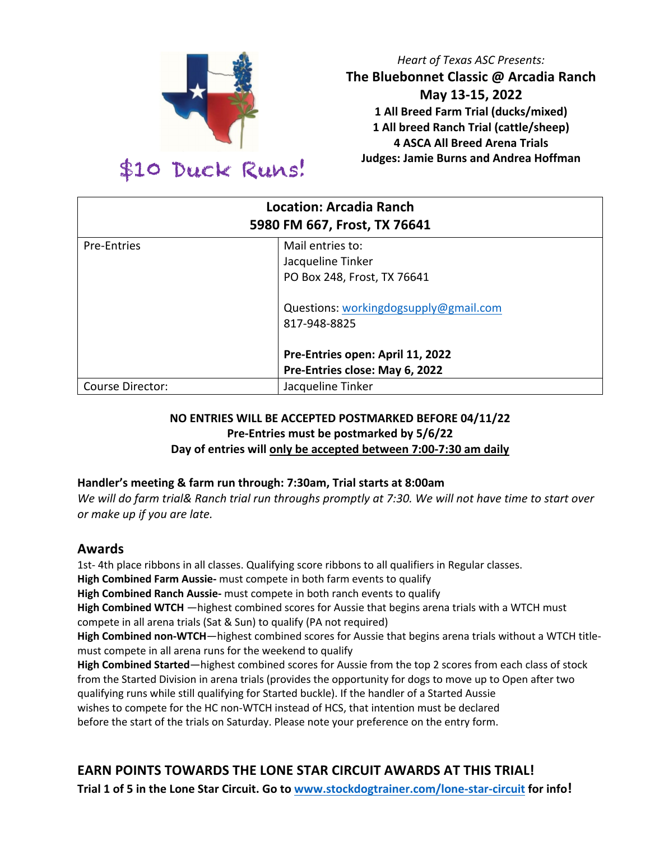

*Heart of Texas ASC Presents:* **The Bluebonnet Classic @ Arcadia Ranch May 13-15, 2022 1 All Breed Farm Trial (ducks/mixed) 1 All breed Ranch Trial (cattle/sheep) 4 ASCA All Breed Arena Trials Judges: Jamie Burns and Andrea Hoffman**

# **Location: Arcadia Ranch 5980 FM 667, Frost, TX 76641** Pre-Entries Mail entries to: Jacqueline Tinker PO Box 248, Frost, TX 76641 Questions: workingdogsupply@gmail.com 817-948-8825 **Pre-Entries open: April 11, 2022 Pre-Entries close: May 6, 2022** Course Director:  $\vert$  Jacqueline Tinker

### **NO ENTRIES WILL BE ACCEPTED POSTMARKED BEFORE 04/11/22 Pre-Entries must be postmarked by 5/6/22 Day of entries will only be accepted between 7:00-7:30 am daily**

### **Handler's meeting & farm run through: 7:30am, Trial starts at 8:00am**

*We will do farm trial& Ranch trial run throughs promptly at 7:30. We will not have time to start over or make up if you are late.* 

### **Awards**

1st- 4th place ribbons in all classes. Qualifying score ribbons to all qualifiers in Regular classes. **High Combined Farm Aussie-** must compete in both farm events to qualify **High Combined Ranch Aussie-** must compete in both ranch events to qualify **High Combined WTCH** —highest combined scores for Aussie that begins arena trials with a WTCH must compete in all arena trials (Sat & Sun) to qualify (PA not required) **High Combined non-WTCH**—highest combined scores for Aussie that begins arena trials without a WTCH titlemust compete in all arena runs for the weekend to qualify **High Combined Started**—highest combined scores for Aussie from the top 2 scores from each class of stock from the Started Division in arena trials (provides the opportunity for dogs to move up to Open after two qualifying runs while still qualifying for Started buckle). If the handler of a Started Aussie wishes to compete for the HC non-WTCH instead of HCS, that intention must be declared before the start of the trials on Saturday. Please note your preference on the entry form.

# **EARN POINTS TOWARDS THE LONE STAR CIRCUIT AWARDS AT THIS TRIAL!**

**Trial 1 of 5 in the Lone Star Circuit. Go to www.stockdogtrainer.com/lone-star-circuit for info!**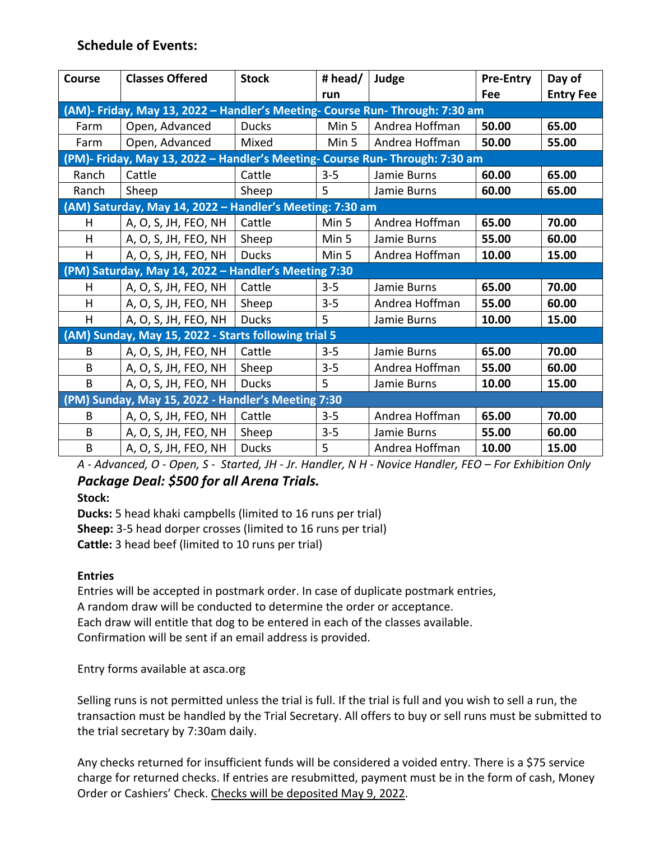# **Schedule of Events:**

| <b>Course</b>                                                                | <b>Classes Offered</b> | <b>Stock</b> | # head/ | Judge          | <b>Pre-Entry</b> | Day of           |
|------------------------------------------------------------------------------|------------------------|--------------|---------|----------------|------------------|------------------|
|                                                                              |                        |              | run     |                | Fee              | <b>Entry Fee</b> |
| (AM)- Friday, May 13, 2022 - Handler's Meeting- Course Run- Through: 7:30 am |                        |              |         |                |                  |                  |
| Farm                                                                         | Open, Advanced         | <b>Ducks</b> | Min 5   | Andrea Hoffman | 50.00            | 65.00            |
| Farm                                                                         | Open, Advanced         | Mixed        | Min 5   | Andrea Hoffman | 50.00            | 55.00            |
| (PM)- Friday, May 13, 2022 - Handler's Meeting- Course Run- Through: 7:30 am |                        |              |         |                |                  |                  |
| Ranch                                                                        | Cattle                 | Cattle       | $3-5$   | Jamie Burns    | 60.00            | 65.00            |
| Ranch                                                                        | Sheep                  | Sheep        | 5       | Jamie Burns    | 60.00            | 65.00            |
| (AM) Saturday, May 14, 2022 - Handler's Meeting: 7:30 am                     |                        |              |         |                |                  |                  |
| H                                                                            | A, O, S, JH, FEO, NH   | Cattle       | Min 5   | Andrea Hoffman | 65.00            | 70.00            |
| H                                                                            | A, O, S, JH, FEO, NH   | Sheep        | Min 5   | Jamie Burns    | 55.00            | 60.00            |
| H                                                                            | A, O, S, JH, FEO, NH   | <b>Ducks</b> | Min 5   | Andrea Hoffman | 10.00            | 15.00            |
| (PM) Saturday, May 14, 2022 - Handler's Meeting 7:30                         |                        |              |         |                |                  |                  |
| H.                                                                           | A, O, S, JH, FEO, NH   | Cattle       | $3 - 5$ | Jamie Burns    | 65.00            | 70.00            |
| H                                                                            | A, O, S, JH, FEO, NH   | Sheep        | $3 - 5$ | Andrea Hoffman | 55.00            | 60.00            |
| H                                                                            | A, O, S, JH, FEO, NH   | <b>Ducks</b> | 5       | Jamie Burns    | 10.00            | 15.00            |
| (AM) Sunday, May 15, 2022 - Starts following trial 5                         |                        |              |         |                |                  |                  |
| B                                                                            | A, O, S, JH, FEO, NH   | Cattle       | $3 - 5$ | Jamie Burns    | 65.00            | 70.00            |
| B                                                                            | A, O, S, JH, FEO, NH   | Sheep        | $3 - 5$ | Andrea Hoffman | 55.00            | 60.00            |
| B                                                                            | A, O, S, JH, FEO, NH   | <b>Ducks</b> | 5       | Jamie Burns    | 10.00            | 15.00            |
| (PM) Sunday, May 15, 2022 - Handler's Meeting 7:30                           |                        |              |         |                |                  |                  |
| B                                                                            | A, O, S, JH, FEO, NH   | Cattle       | $3 - 5$ | Andrea Hoffman | 65.00            | 70.00            |
| B                                                                            | A, O, S, JH, FEO, NH   | Sheep        | $3 - 5$ | Jamie Burns    | 55.00            | 60.00            |
| B                                                                            | A, O, S, JH, FEO, NH   | <b>Ducks</b> | 5       | Andrea Hoffman | 10.00            | 15.00            |

*A - Advanced, O - Open, S - Started, JH - Jr. Handler, N H - Novice Handler, FEO – For Exhibition Only Package Deal: \$500 for all Arena Trials.* 

**Stock:** 

**Ducks:** 5 head khaki campbells (limited to 16 runs per trial)

**Sheep:** 3-5 head dorper crosses (limited to 16 runs per trial)

**Cattle:** 3 head beef (limited to 10 runs per trial)

### **Entries**

Entries will be accepted in postmark order. In case of duplicate postmark entries, A random draw will be conducted to determine the order or acceptance. Each draw will entitle that dog to be entered in each of the classes available. Confirmation will be sent if an email address is provided.

Entry forms available at asca.org

Selling runs is not permitted unless the trial is full. If the trial is full and you wish to sell a run, the transaction must be handled by the Trial Secretary. All offers to buy or sell runs must be submitted to the trial secretary by 7:30am daily.

Any checks returned for insufficient funds will be considered a voided entry. There is a \$75 service charge for returned checks. If entries are resubmitted, payment must be in the form of cash, Money Order or Cashiers' Check. Checks will be deposited May 9, 2022.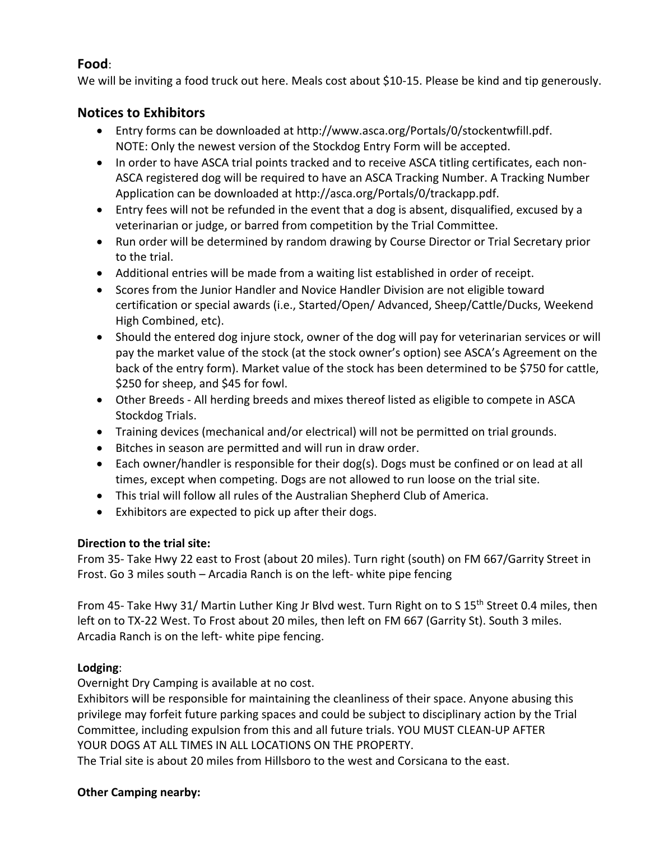### **Food**:

We will be inviting a food truck out here. Meals cost about \$10-15. Please be kind and tip generously.

### **Notices to Exhibitors**

- Entry forms can be downloaded at http://www.asca.org/Portals/0/stockentwfill.pdf. NOTE: Only the newest version of the Stockdog Entry Form will be accepted.
- In order to have ASCA trial points tracked and to receive ASCA titling certificates, each non-ASCA registered dog will be required to have an ASCA Tracking Number. A Tracking Number Application can be downloaded at http://asca.org/Portals/0/trackapp.pdf.
- Entry fees will not be refunded in the event that a dog is absent, disqualified, excused by a veterinarian or judge, or barred from competition by the Trial Committee.
- Run order will be determined by random drawing by Course Director or Trial Secretary prior to the trial.
- Additional entries will be made from a waiting list established in order of receipt.
- Scores from the Junior Handler and Novice Handler Division are not eligible toward certification or special awards (i.e., Started/Open/ Advanced, Sheep/Cattle/Ducks, Weekend High Combined, etc).
- Should the entered dog injure stock, owner of the dog will pay for veterinarian services or will pay the market value of the stock (at the stock owner's option) see ASCA's Agreement on the back of the entry form). Market value of the stock has been determined to be \$750 for cattle, \$250 for sheep, and \$45 for fowl.
- Other Breeds All herding breeds and mixes thereof listed as eligible to compete in ASCA Stockdog Trials.
- Training devices (mechanical and/or electrical) will not be permitted on trial grounds.
- Bitches in season are permitted and will run in draw order.
- Each owner/handler is responsible for their dog(s). Dogs must be confined or on lead at all times, except when competing. Dogs are not allowed to run loose on the trial site.
- This trial will follow all rules of the Australian Shepherd Club of America.
- Exhibitors are expected to pick up after their dogs.

### **Direction to the trial site:**

From 35- Take Hwy 22 east to Frost (about 20 miles). Turn right (south) on FM 667/Garrity Street in Frost. Go 3 miles south – Arcadia Ranch is on the left- white pipe fencing

From 45- Take Hwy 31/ Martin Luther King Jr Blvd west. Turn Right on to S 15<sup>th</sup> Street 0.4 miles, then left on to TX-22 West. To Frost about 20 miles, then left on FM 667 (Garrity St). South 3 miles. Arcadia Ranch is on the left- white pipe fencing.

### **Lodging**:

Overnight Dry Camping is available at no cost.

Exhibitors will be responsible for maintaining the cleanliness of their space. Anyone abusing this privilege may forfeit future parking spaces and could be subject to disciplinary action by the Trial Committee, including expulsion from this and all future trials. YOU MUST CLEAN-UP AFTER YOUR DOGS AT ALL TIMES IN ALL LOCATIONS ON THE PROPERTY.

The Trial site is about 20 miles from Hillsboro to the west and Corsicana to the east.

### **Other Camping nearby:**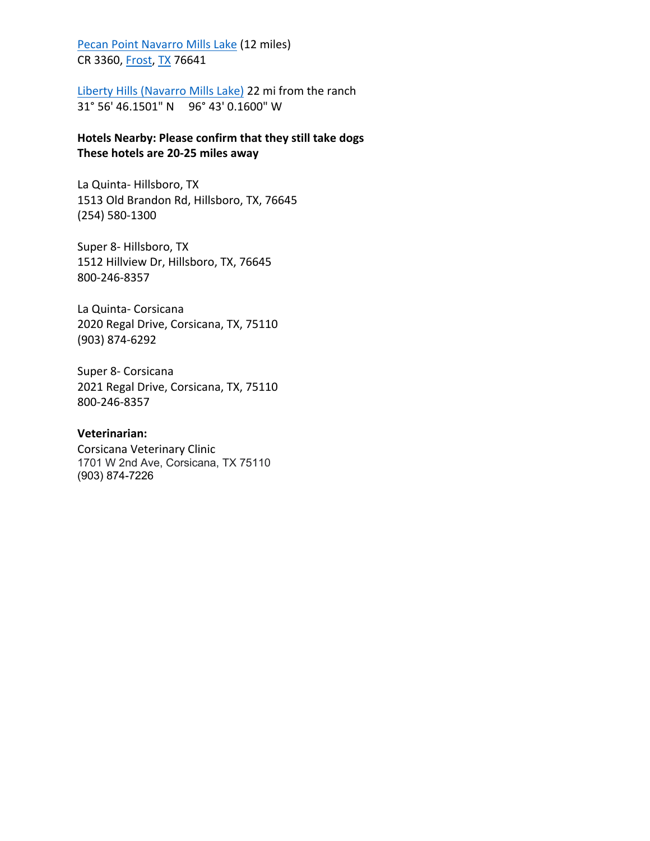Pecan Point Navarro Mills Lake (12 miles) CR 3360, Frost, TX 76641

Liberty Hills (Navarro Mills Lake) 22 mi from the ranch 31° 56' 46.1501" N 96° 43' 0.1600" W

#### **Hotels Nearby: Please confirm that they still take dogs These hotels are 20-25 miles away**

La Quinta- Hillsboro, TX 1513 Old Brandon Rd, Hillsboro, TX, 76645 (254) 580-1300

Super 8- Hillsboro, TX 1512 Hillview Dr, Hillsboro, TX, 76645 800-246-8357

La Quinta- Corsicana 2020 Regal Drive, Corsicana, TX, 75110 (903) 874-6292

Super 8- Corsicana 2021 Regal Drive, Corsicana, TX, 75110 800-246-8357

#### **Veterinarian:**

Corsicana Veterinary Clinic 1701 W 2nd Ave, Corsicana, TX 75110 (903) 874-7226